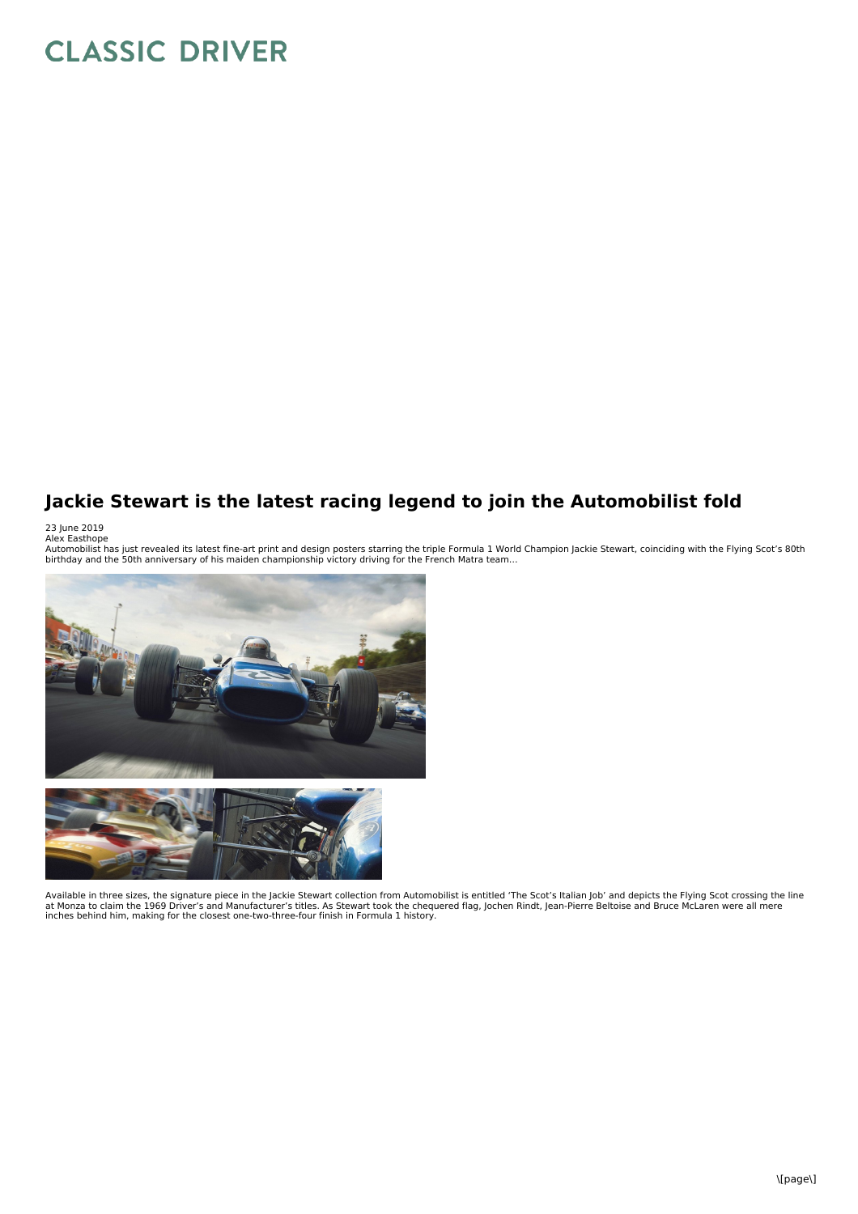## **CLASSIC DRIVER**

## **Jackie Stewart is the latest racing legend to join the Automobilist fold**

23 June 2019<br>Alex Easthope<br>Automobilist has just revealed its latest fine-art print and design posters starring the triple Formula 1 World Champion Jackie Stewart, coinciding with the Flying Scot's 80th<br>Automobilist has ju



Available in three sizes, the signature piece in the Jackie Stewart collection from Automobilist is entitled 'The Scot's Italian Job' and depicts the Flying Scot crossing the line at Monza to claim the 1969 Driver's and Manufacturer's titles. As Stewart took the chequered flag, Jochen Rindt, Jean-Pierre Beltoise and Bruce McLaren were all mere<br>inches behind him, making for the closest one-two-three-